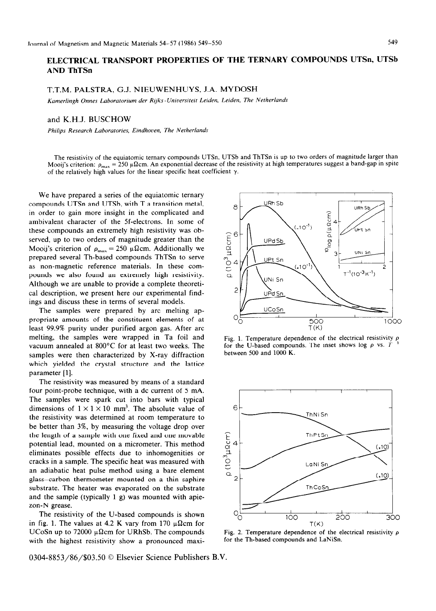## **ELECTRICAL TRANSPORT PROPERTIES OF THE TERNARY COMPOUNDS UTSn, UTSb AND ThTSn**

## T.T.M. PALSTRA, G.J. NIEUWENHUYS, J.A. MYDOSH

Kamerlingh Onnes Laboratorium der Rijks-Universiteit Leiden, Leiden, The Netherlands

## and K.H.J. BUSCHOW

*Philips Research Laboratones, Etndhouen, The Netherlands* 

The resistivity of the equiatomic ternary compounds UTSn, UTSb and ThTSn is up to two orders of magnitude larger than Mooij's criterion:  $\rho_{max} = 250 \mu \Omega$ cm. An exponential decrease of the resistivity at high temperatures suggest a band-gap in spite of the relatively high values for the linear specific heat coefficient  $\gamma$ .

We have prepared a series of the equiatomic ternary compounds UTSn and UTSb, with T a transition metal, in order to gain more insight in the complicated and ambivalent character of the Sf-electrons. In some of these compounds an extremely high resistivity was observed, up to two orders of magnitude greater than the Mooij's criterion of  $\rho_{\text{max}} = 250 \mu \Omega \text{cm}$ . Additionally we prepared several Th-based compounds ThTSn to serve as non-magnetic reference materials. In these compounds we also found an extremely high resistivity. Although we are unable to provide a complete theoretical description, we present here our experimental findings and discuss these in terms of several models.

The samples were prepared by arc melting appropriate amounts of the constituent elements of at least 99.9% purity under purified argon gas. After arc melting, the samples were wrapped in Ta foil and vacuum annealed at 800°C for at least two weeks. The samples were then characterized by X-ray diffraction which yielded the crystal structure and the lattice parameter [l].

The resistivity was measured by means of a standard four point-probe technique, with a dc current of 5 mA. The samples were spark cut into bars with typical dimensions of  $1 \times 1 \times 10$  mm<sup>3</sup>. The absolute value of the resistivity was determined at room temperature to be better than 3%, by measuring the voltage drop over the length of a sample with one fixed and one movable potential lead, mounted on a micrometer. This method eliminates possible effects due to inhomogenities or cracks in a sample. The specific heat was measured with an adiabatic heat pulse method using a bare element glass-carbon thermometer mounted on a thin saphire substrate. The heater was evaporated on the substrate and the sample (typically 1 g) was mounted with apiezon-N grease.

The resistivity of the U-based compounds is shown in fig. 1. The values at 4.2 K vary from 170  $\mu \Omega$ cm for UCoSn up to 72000  $\mu\Omega$ cm for URhSb. The compounds with the highest resistivity show a pronounced maxi-

0304-8853/86/\$03.50 © Elsevier Science Publishers B.V.



Fig. 1. Temperature dependence of the electrical resistivity  $\rho$ for the U-based compounds. The inset shows log  $\rho$  vs. *T* between 500 and 1000 K.



Fig. 2. Temperature dependence of the electrical resistivity  $\rho$ for the Th-based compounds and LaNiSn.